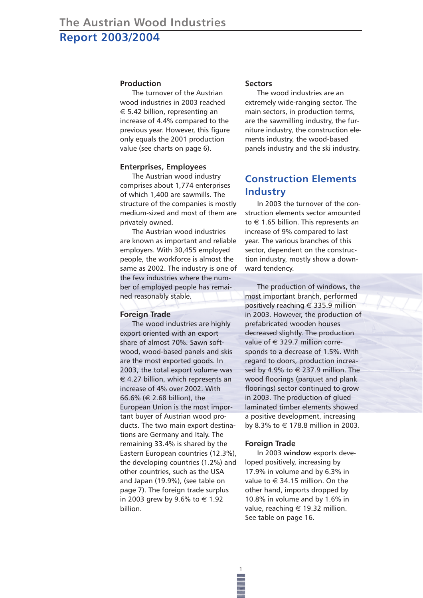### **Production**

The turnover of the Austrian wood industries in 2003 reached  $\epsilon$  5.42 billion, representing an increase of 4.4% compared to the previous year. However, this figure only equals the 2001 production value (see charts on page 6).

### **Enterprises, Employees**

The Austrian wood industry comprises about 1,774 enterprises of which 1,400 are sawmills. The structure of the companies is mostly medium-sized and most of them are privately owned.

The Austrian wood industries are known as important and reliable employers. With 30,455 employed people, the workforce is almost the same as 2002. The industry is one of the few industries where the number of employed people has remained reasonably stable.

#### **Foreign Trade**

The wood industries are highly export oriented with an export share of almost 70%. Sawn softwood, wood-based panels and skis are the most exported goods. In 2003, the total export volume was  $\epsilon$  4.27 billion, which represents an increase of 4% over 2002. With 66.6% (€ 2.68 billion), the European Union is the most important buyer of Austrian wood products. The two main export destinations are Germany and Italy. The remaining 33.4% is shared by the Eastern European countries (12.3%), the developing countries (1.2%) and other countries, such as the USA and Japan (19.9%), (see table on page 7). The foreign trade surplus in 2003 grew by 9.6% to € 1.92 billion.

#### **Sectors**

The wood industries are an extremely wide-ranging sector. The main sectors, in production terms, are the sawmilling industry, the furniture industry, the construction elements industry, the wood-based panels industry and the ski industry.

## **Construction Elements Industry**

In 2003 the turnover of the construction elements sector amounted to  $\in$  1.65 billion. This represents an increase of 9% compared to last year. The various branches of this sector, dependent on the construction industry, mostly show a downward tendency.

The production of windows, the most important branch, performed positively reaching  $\epsilon$  335.9 million in 2003. However, the production of prefabricated wooden houses decreased slightly. The production value of  $\in$  329.7 million corresponds to a decrease of 1.5%. With regard to doors, production increased by 4.9% to  $\in$  237.9 million. The wood floorings (parquet and plank floorings) sector continued to grow in 2003. The production of glued laminated timber elements showed a positive development, increasing by 8.3% to € 178.8 million in 2003.

#### **Foreign Trade**

**1**

In 2003 **window** exports developed positively, increasing by 17.9% in volume and by 6.3% in value to  $\in$  34.15 million. On the other hand, imports dropped by 10.8% in volume and by 1.6% in value, reaching  $\in$  19.32 million. See table on page 16.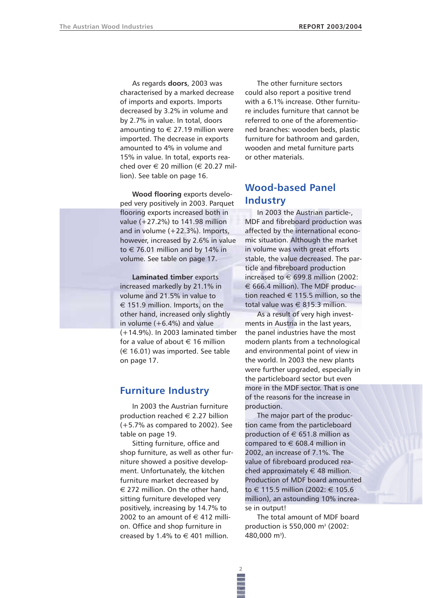As regards **doors**, 2003 was characterised by a marked decrease of imports and exports. Imports decreased by 3.2% in volume and by 2.7% in value. In total, doors amounting to  $\in$  27.19 million were imported. The decrease in exports amounted to 4% in volume and 15% in value. In total, exports reached over  $\in$  20 million ( $\in$  20.27 million). See table on page 16.

**Wood flooring** exports developed very positively in 2003. Parquet flooring exports increased both in value (+27.2%) to 141.98 million and in volume (+22.3%). Imports, however, increased by 2.6% in value to  $\in$  76.01 million and by 14% in volume. See table on page 17.

## **Laminated timber** exports increased markedly by 21.1% in volume and 21.5% in value to  $\epsilon$  151.9 million. Imports, on the other hand, increased only slightly in volume  $(+6.4%)$  and value (+14.9%). In 2003 laminated timber for a value of about  $\in$  16 million  $(\in$  16.01) was imported. See table on page 17.

## **Furniture Industry**

In 2003 the Austrian furniture production reached  $\in$  2.27 billion (+5.7% as compared to 2002). See table on page 19.

Sitting furniture, office and shop furniture, as well as other furniture showed a positive development. Unfortunately, the kitchen furniture market decreased by  $\epsilon$  272 million. On the other hand, sitting furniture developed very positively, increasing by 14.7% to 2002 to an amount of  $\in$  412 million. Office and shop furniture in creased by 1.4% to  $\in$  401 million.

The other furniture sectors could also report a positive trend with a 6.1% increase. Other furniture includes furniture that cannot be referred to one of the aforementioned branches: wooden beds, plastic furniture for bathroom and garden, wooden and metal furniture parts or other materials.

## **Wood-based Panel Industry**

In 2003 the Austrian particle-, MDF and fibreboard production was affected by the international economic situation. Although the market in volume was with great efforts stable, the value decreased. The particle and fibreboard production increased to  $\in$  699.8 million (2002:  $\epsilon$  666.4 million). The MDF production reached  $\in$  115.5 million, so the total value was  $\in$  815.3 million.

As a result of very high investments in Austria in the last years, the panel industries have the most modern plants from a technological and environmental point of view in the world. In 2003 the new plants were further upgraded, especially in the particleboard sector but even more in the MDF sector. That is one of the reasons for the increase in production.

The major part of the production came from the particleboard production of  $\in$  651.8 million as compared to  $\in$  608.4 million in 2002, an increase of 7.1%. The value of fibreboard produced reached approximately  $\in$  48 million. Production of MDF board amounted to € 115.5 million (2002: € 105.6 million), an astounding 10% increase in output!

The total amount of MDF board production is 550,000 m3 (2002: 480,000 m<sup>3</sup>).

**2**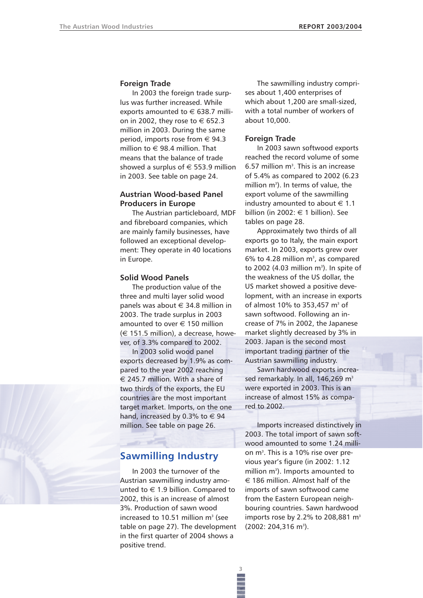### **Foreign Trade**

In 2003 the foreign trade surplus was further increased. While exports amounted to  $\in$  638.7 million in 2002, they rose to  $\in$  652.3 million in 2003. During the same period, imports rose from  $\in$  94.3 million to  $\in$  98.4 million. That means that the balance of trade showed a surplus of  $\epsilon$  553.9 million in 2003. See table on page 24.

## **Austrian Wood-based Panel Producers in Europe**

The Austrian particleboard, MDF and fibreboard companies, which are mainly family businesses, have followed an exceptional development: They operate in 40 locations in Europe.

### **Solid Wood Panels**

The production value of the three and multi layer solid wood panels was about  $\in$  34.8 million in 2003. The trade surplus in 2003 amounted to over € 150 million  $(\in$  151.5 million), a decrease, however, of 3.3% compared to 2002.

In 2003 solid wood panel exports decreased by 1.9% as compared to the year 2002 reaching  $\epsilon$  245.7 million. With a share of two thirds of the exports, the EU countries are the most important target market. Imports, on the one hand, increased by 0.3% to  $\in$  94 million. See table on page 26.

# **Sawmilling Industry**

In 2003 the turnover of the Austrian sawmilling industry amounted to  $\in$  1.9 billion. Compared to 2002, this is an increase of almost 3%. Production of sawn wood increased to 10.51 million  $m<sup>3</sup>$  (see table on page 27). The development in the first quarter of 2004 shows a positive trend.

**3**

The sawmilling industry comprises about 1,400 enterprises of which about 1,200 are small-sized, with a total number of workers of about 10,000.

### **Foreign Trade**

In 2003 sawn softwood exports reached the record volume of some  $6.57$  million m<sup>3</sup>. This is an increase of 5.4% as compared to 2002 (6.23 million  $m^3$ ). In terms of value, the export volume of the sawmilling industry amounted to about  $\in$  1.1 billion (in 2002:  $\in$  1 billion). See tables on page 28.

Approximately two thirds of all exports go to Italy, the main export market. In 2003, exports grew over  $6\%$  to 4.28 million m<sup>3</sup>, as compared to 2002 (4.03 million m<sup>3</sup>). In spite of the weakness of the US dollar, the US market showed a positive development, with an increase in exports of almost 10% to 353,457 m<sup>3</sup> of sawn softwood. Following an increase of 7% in 2002, the Japanese market slightly decreased by 3% in 2003. Japan is the second most important trading partner of the Austrian sawmilling industry.

Sawn hardwood exports increased remarkably. In all, 146,269 m<sup>3</sup> were exported in 2003. This is an increase of almost 15% as compared to 2002.

Imports increased distinctively in 2003. The total import of sawn softwood amounted to some 1.24 million m<sup>3</sup>. This is a 10% rise over previous year's figure (in 2002: 1.12 million  $m^3$ ). Imports amounted to  $\epsilon$  186 million. Almost half of the imports of sawn softwood came from the Eastern European neighbouring countries. Sawn hardwood imports rose by 2.2% to 208,881  $m<sup>3</sup>$  $(2002: 204, 316 \text{ m}^3).$